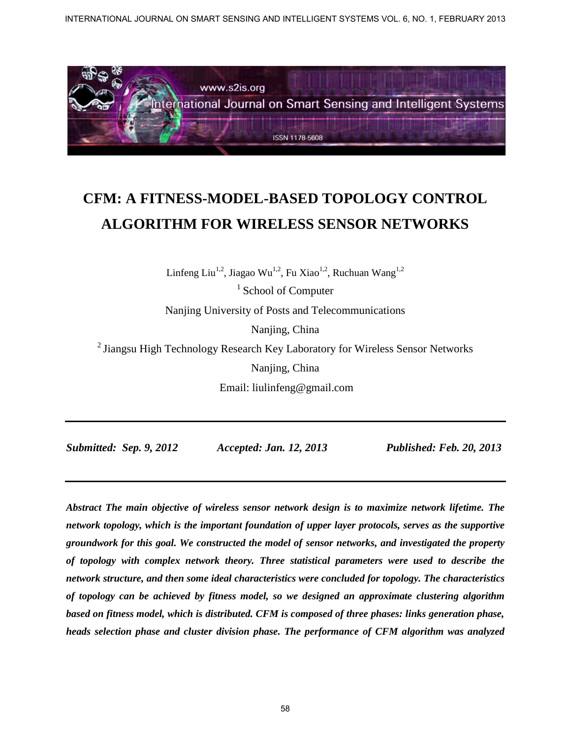

# **CFM: A FITNESS-MODEL-BASED TOPOLOGY CONTROL ALGORITHM FOR WIRELESS SENSOR NETWORKS**

Linfeng Liu<sup>1,2</sup>, Jiagao Wu<sup>1,2</sup>, Fu Xiao<sup>1,2</sup>, Ruchuan Wang<sup>1,2</sup>

<sup>1</sup> School of Computer

Nanjing University of Posts and Telecommunications

Nanjing, China

 $2$  Jiangsu High Technology Research Key Laboratory for Wireless Sensor Networks Nanjing, China Email: liulinfeng@gmail.com

*Submitted: Sep. 9, 2012 Accepted: Jan. 12, 2013 Published: Feb. 20, 2013* 

*Abstract The main objective of wireless sensor network design is to maximize network lifetime. The network topology, which is the important foundation of upper layer protocols, serves as the supportive groundwork for this goal. We constructed the model of sensor networks, and investigated the property of topology with complex network theory. Three statistical parameters were used to describe the network structure, and then some ideal characteristics were concluded for topology. The characteristics of topology can be achieved by fitness model, so we designed an approximate clustering algorithm based on fitness model, which is distributed. CFM is composed of three phases: links generation phase, heads selection phase and cluster division phase. The performance of CFM algorithm was analyzed*  INTERNATIONAL JOURNAL ON SIGNATION SENSING AND INTELLIGENT SYSTEMS VOL. 6, NO. 1, FEBRUARY 2013<br>
Signal Journal on Smart Sensing and Intelligent Systems<br>
EVALUATION JOURNAL JOURNAL DES SENSION NETWORKS<br>
Linding Lin<sup>ter</sup> J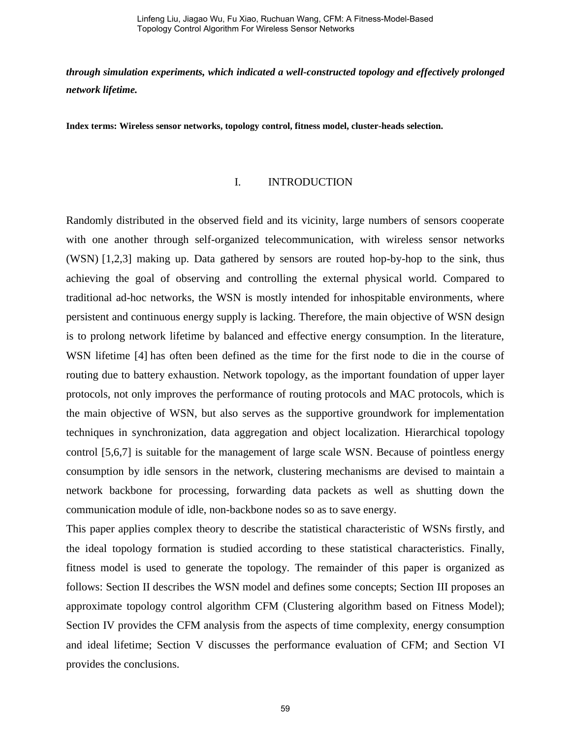*through simulation experiments, which indicated a well-constructed topology and effectively prolonged network lifetime.* 

**Index terms: Wireless sensor networks, topology control, fitness model, cluster-heads selection.** 

#### I. INTRODUCTION

Randomly distributed in the observed field and its vicinity, large numbers of sensors cooperate with one another through self-organized telecommunication, with wireless sensor networks (WSN) [1,2,3] making up. Data gathered by sensors are routed hop-by-hop to the sink, thus achieving the goal of observing and controlling the external physical world. Compared to traditional ad-hoc networks, the WSN is mostly intended for inhospitable environments, where persistent and continuous energy supply is lacking. Therefore, the main objective of WSN design is to prolong network lifetime by balanced and effective energy consumption. In the literature, WSN lifetime [4] has often been defined as the time for the first node to die in the course of routing due to battery exhaustion. Network topology, as the important foundation of upper layer protocols, not only improves the performance of routing protocols and MAC protocols, which is the main objective of WSN, but also serves as the supportive groundwork for implementation techniques in synchronization, data aggregation and object localization. Hierarchical topology control [5,6,7] is suitable for the management of large scale WSN. Because of pointless energy consumption by idle sensors in the network, clustering mechanisms are devised to maintain a network backbone for processing, forwarding data packets as well as shutting down the communication module of idle, non-backbone nodes so as to save energy.

This paper applies complex theory to describe the statistical characteristic of WSNs firstly, and the ideal topology formation is studied according to these statistical characteristics. Finally, fitness model is used to generate the topology. The remainder of this paper is organized as follows: Section II describes the WSN model and defines some concepts; Section III proposes an approximate topology control algorithm CFM (Clustering algorithm based on Fitness Model); Section IV provides the CFM analysis from the aspects of time complexity, energy consumption and ideal lifetime; Section V discusses the performance evaluation of CFM; and Section VI provides the conclusions.

59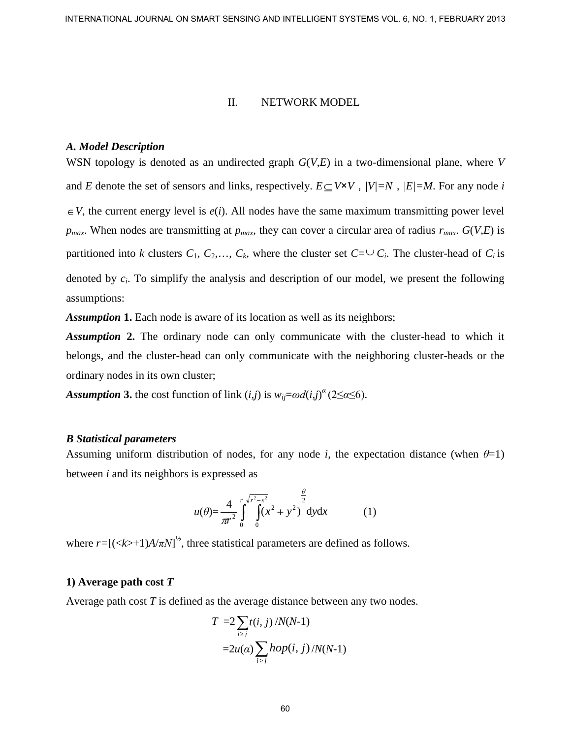#### II. NETWORK MODEL

#### *A. Model Description*

WSN topology is denoted as an undirected graph *G*(*V*,*E*) in a two-dimensional plane, where *V* and *E* denote the set of sensors and links, respectively.  $E \subseteq V \times V$ ,  $|V|=N$ ,  $|E|=M$ . For any node *i*  $\in V$ , the current energy level is  $e(i)$ . All nodes have the same maximum transmitting power level *p*<sub>*max</sub>*. When nodes are transmitting at  $p_{max}$ , they can cover a circular area of radius  $r_{max}$ .  $G(V,E)$  is</sub> partitioned into *k* clusters  $C_1$ ,  $C_2$ ,...,  $C_k$ , where the cluster set  $C = \bigcup C_i$ . The cluster-head of  $C_i$  is denoted by  $c_i$ . To simplify the analysis and description of our model, we present the following assumptions: INTERNATIONAL JOURNAL ON SIANT SENSING AND INTELLIGENT SYSTEMS VOL. 6, NO. 1, FEBRUARY 2013<br>
I.E. NEWELD DESCription<br>
WSN Orpology is denoted as an undirected graph  $G(U,L)$  in a two-dimensional plane, where  $V$ <br>
was repres

*Assumption* **1.** Each node is aware of its location as well as its neighbors;

*Assumption* **2.** The ordinary node can only communicate with the cluster-head to which it belongs, and the cluster-head can only communicate with the neighboring cluster-heads or the ordinary nodes in its own cluster;

*Assumption 3.* the cost function of link  $(i,j)$  is  $w_{ij} = \omega d(i,j)^\alpha (2 \leq \alpha \leq 6)$ .

#### *B Statistical parameters*

Assuming uniform distribution of nodes, for any node *i*, the expectation distance (when  $\theta=1$ ) between *i* and its neighbors is expressed as

$$
u(\theta) = \frac{4}{\pi r^2} \int_{0}^{r} \int_{0}^{\sqrt{r^2 - x^2}} (x^2 + y^2) dy dx
$$
 (1)

where  $r = [(*k*>+1)A/\pi N]^2$ , three statistical parameters are defined as follows.

#### **1) Average path cost** *T*

Average path cost *T* is defined as the average distance between any two nodes.

$$
T = 2 \sum_{i \ge j} t(i, j) / N(N-1)
$$
  
=2u(\alpha) \sum\_{i \ge j} hop(i, j) / N(N-1)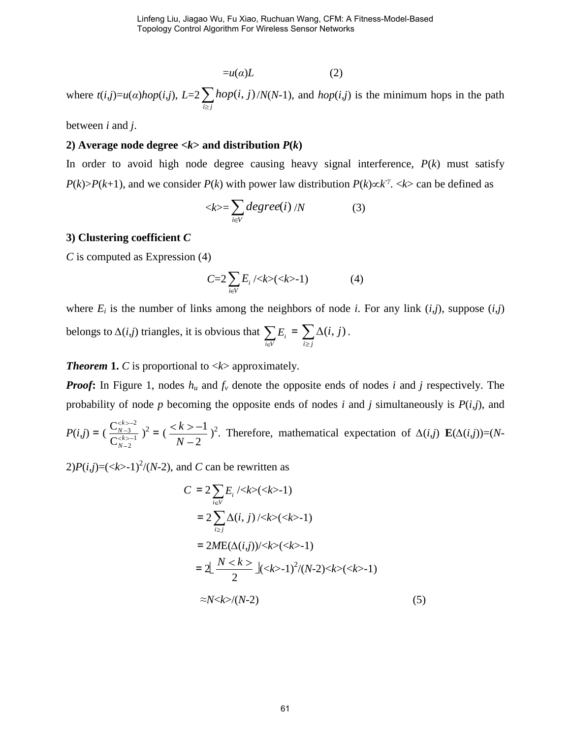$$
=u(\alpha)L
$$
 (2)

where  $t(i,j)=u(\alpha)hop(i,j), L=2$  $i \geq j$  $hop(i, j) / N(N-1)$ , and  $hop(i, j)$  is the minimum hops in the path

between *i* and *j*.

#### **2)** Average node degree  $\langle k \rangle$  and distribution  $P(k)$

In order to avoid high node degree causing heavy signal interference,  $P(k)$  must satisfy  $P(k) > P(k+1)$ , and we consider  $P(k)$  with power law distribution  $P(k) \propto k^{\gamma}$ .  $\langle k \rangle$  can be defined as

$$
\langle k \rangle = \sum_{i \in V} degree(i) / N \tag{3}
$$

#### **3) Clustering coefficient** *C*

*C* is computed as Expression (4)

$$
C=2\sum_{i\in V}E_i/\langle k\rangle(\langle k\rangle-1)\qquad \qquad (4)
$$

where  $E_i$  is the number of links among the neighbors of node *i*. For any link  $(i,j)$ , suppose  $(i,j)$ belongs to *∆*(*i*,*j*) triangles, it is obvious that *i V*  $E_i$  =  $\sum_{i \ge j}$  $(i, j)$ .

*Theorem* **1.** *C* is proportional to  $\langle k \rangle$  approximately.

*Proof*: In Figure 1, nodes  $h_u$  and  $f_v$  denote the opposite ends of nodes *i* and *j* respectively. The probability of node *p* becoming the opposite ends of nodes *i* and *j* simultaneously is  $P(i,j)$ , and

$$
P(i,j) = \left(\frac{C_{N-3}^{(k>-2)}}{C_{N-2}^{(k)-1}}\right)^2 = \left(\frac{2(k-1)}{N-2}\right)^2.
$$
 Therefore, mathematical expectation of  $\Delta(i,j)$   $\mathbf{E}(\Delta(i,j))=(N-1)$ 

 $2)P(i,j)=(<\!\!k>1$ )<sup>2</sup>/(N-2), and C can be rewritten as

$$
C = 2 \sum_{i \in V} E_i / \langle k \rangle (\langle k \rangle - 1)
$$
  
= 2 \sum\_{i \ge j} \Delta(i, j) / \langle k \rangle (\langle k \rangle - 1)  
= 2ME(\Delta(i, j)) / \langle k \rangle (\langle k \rangle - 1)  
= 2 \left[ \frac{N \langle k \rangle}{2} \right] (\langle k \rangle - 1)^2 / (N - 2) \langle k \rangle (\langle k \rangle - 1)  
\approx N \langle k \rangle / (N - 2) \qquad (5)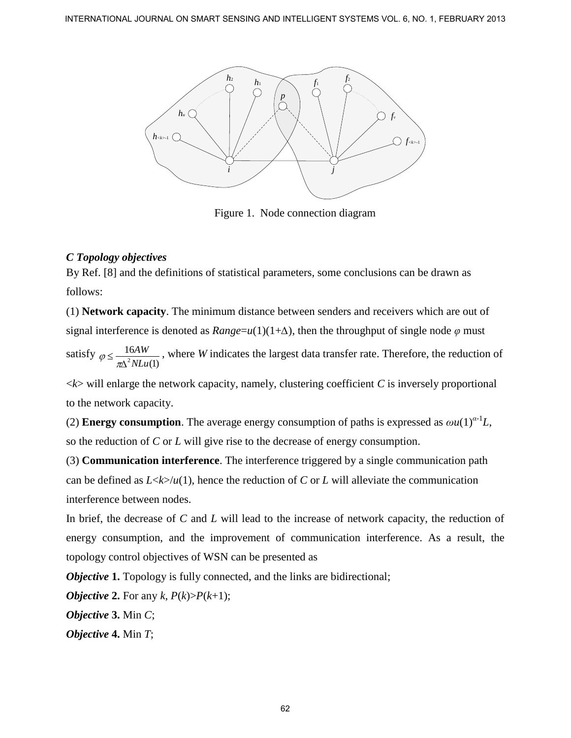

Figure 1. Node connection diagram

# *C Topology objectives*

By Ref. [8] and the definitions of statistical parameters, some conclusions can be drawn as follows:

(1) **Network capacity**. The minimum distance between senders and receivers which are out of signal interference is denoted as  $Range=u(1)(1+\Delta)$ , then the throughput of single node  $\varphi$  must

satisfy  $\varphi \leq \frac{10}{\pi \Delta^2}$ 16 (1) *AW NLu* , where *W* indicates the largest data transfer rate. Therefore, the reduction of

 $\langle k \rangle$  will enlarge the network capacity, namely, clustering coefficient *C* is inversely proportional to the network capacity.

(2) **Energy consumption**. The average energy consumption of paths is expressed as  $\omega u(1)^{\alpha-1}L$ , so the reduction of *C* or *L* will give rise to the decrease of energy consumption.

(3) **Communication interference**. The interference triggered by a single communication path can be defined as  $L \lt k > \ln(1)$ , hence the reduction of *C* or *L* will alleviate the communication interference between nodes.

In brief, the decrease of *C* and *L* will lead to the increase of network capacity, the reduction of energy consumption, and the improvement of communication interference. As a result, the topology control objectives of WSN can be presented as

*Objective* 1. Topology is fully connected, and the links are bidirectional;

*Objective* 2. For any  $k$ ,  $P(k) > P(k+1)$ ;

*Objective* **3.** Min *C*;

*Objective* **4.** Min *T*;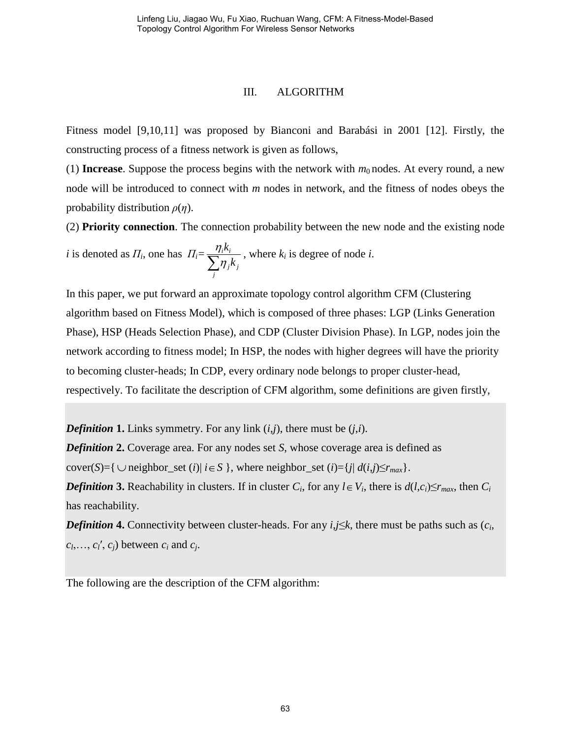#### III. ALGORITHM

Fitness model [9,10,11] was proposed by Bianconi and Barabási in 2001 [12]. Firstly, the constructing process of a fitness network is given as follows,

(1) **Increase**. Suppose the process begins with the network with  $m_0$  nodes. At every round, a new node will be introduced to connect with *m* nodes in network, and the fitness of nodes obeys the probability distribution *ρ*(*η*).

(2) **Priority connection**. The connection probability between the new node and the existing node

*i* is denoted as  $\Pi_i$ , one has  $\Pi_i =$ *j j j*  $i^{\prime \prime}$ *i k*  $\frac{k_i}{l}$ , where  $k_i$  is degree of node *i*.

In this paper, we put forward an approximate topology control algorithm CFM (Clustering algorithm based on Fitness Model), which is composed of three phases: LGP (Links Generation Phase), HSP (Heads Selection Phase), and CDP (Cluster Division Phase). In LGP, nodes join the network according to fitness model; In HSP, the nodes with higher degrees will have the priority to becoming cluster-heads; In CDP, every ordinary node belongs to proper cluster-head, respectively. To facilitate the description of CFM algorithm, some definitions are given firstly,

*Definition* **1.** Links symmetry. For any link  $(i,j)$ , there must be  $(j,i)$ .

*Definition* **2.** Coverage area. For any nodes set *S*, whose coverage area is defined as

cover(*S*)={  $\cup$  neighbor set (*i*)| *i*  $\in$  *S* }, where neighbor set (*i*)={*j*| *d*(*i*,*j*)≤*r*<sub>*max*</sub>}.

*Definition* 3. Reachability in clusters. If in cluster  $C_i$ , for any  $l \in V_i$ , there is  $d(l,c_i) \le r_{max}$ , then  $C_i$ has reachability.

*Definition* **4.** Connectivity between cluster-heads. For any *i*,*j*≤*k*, there must be paths such as (*c<sup>i</sup>* ,  $c_l, \ldots, c_l, c_j$  between  $c_i$  and  $c_j$ .

The following are the description of the CFM algorithm: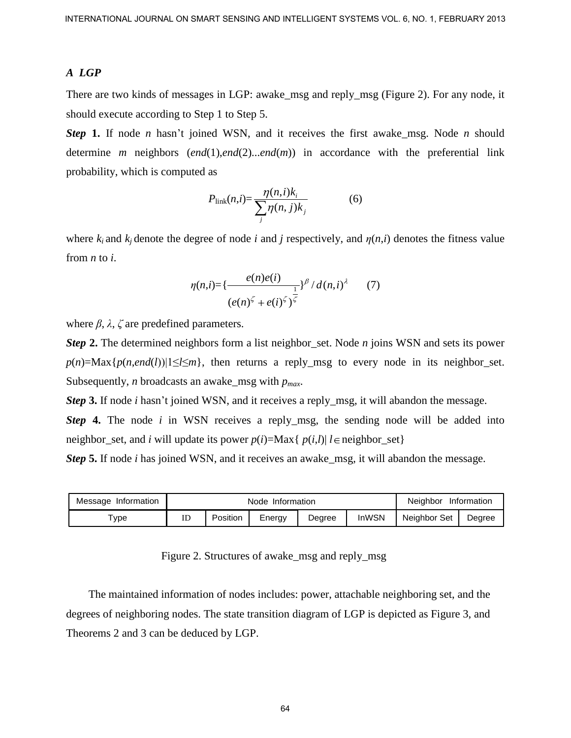#### *A LGP*

There are two kinds of messages in LGP: awake\_msg and reply\_msg (Figure 2). For any node, it should execute according to Step 1 to Step 5.

*Step* **1.** If node *n* hasn't joined WSN, and it receives the first awake\_msg. Node *n* should determine *m* neighbors (*end*(1),*end*(2)...*end*(*m*)) in accordance with the preferential link probability, which is computed as

$$
P_{\text{link}}(n,i) = \frac{\eta(n,i)k_i}{\sum_j \eta(n,j)k_j} \tag{6}
$$

where  $k_i$  and  $k_j$  denote the degree of node *i* and *j* respectively, and  $\eta(n,i)$  denotes the fitness value from *n* to *i*.

$$
\eta(n,i) = \left\{ \frac{e(n)e(i)}{(e(n)^{\zeta} + e(i)^{\zeta})^{\frac{1}{\zeta}}} \right\}^{\beta} / d(n,i)^{\lambda} \qquad (7)
$$

where  $\beta$ ,  $\lambda$ ,  $\zeta$  are predefined parameters.

*Step* **2.** The determined neighbors form a list neighbor\_set. Node *n* joins WSN and sets its power  $p(n) = \text{Max}\{p(n, end(l))|1 \le l \le m\}$ , then returns a reply\_msg to every node in its neighbor\_set. Subsequently, *n* broadcasts an awake\_msg with *pmax*. INTERNATIONAL JOURNAL ON SIMPER SENSING AND INTELLIGENT SYSTEMS VOL. 6, NO. 1, FEBRUARY 2013<br>
There are two kinds of messages in LGP: awake\_mag and trply\_mag (Figure 2). For any node, in<br>
altouble searching to Simper 1.0,

*Step* **3.** If node *i* hasn't joined WSN, and it receives a reply\_msg, it will abandon the message.

*Step* 4. The node *i* in WSN receives a reply\_msg, the sending node will be added into neighbor\_set, and *i* will update its power  $p(i)=Max\{p(i,l)| l \in neighbor_set\}$ 

*Step* **5.** If node *i* has joined WSN, and it receives an awake\_msg, it will abandon the message.

| Message Information | Node Information |          |        |        |              | Neighbor<br>Information |        |
|---------------------|------------------|----------|--------|--------|--------------|-------------------------|--------|
| $\tau_{\text{ype}}$ | ID               | Position | Energy | Degree | <b>InWSN</b> | Neighbor Set            | Dearee |

Figure 2. Structures of awake msg and reply msg

The maintained information of nodes includes: power, attachable neighboring set, and the degrees of neighboring nodes. The state transition diagram of LGP is depicted as Figure 3, and Theorems 2 and 3 can be deduced by LGP.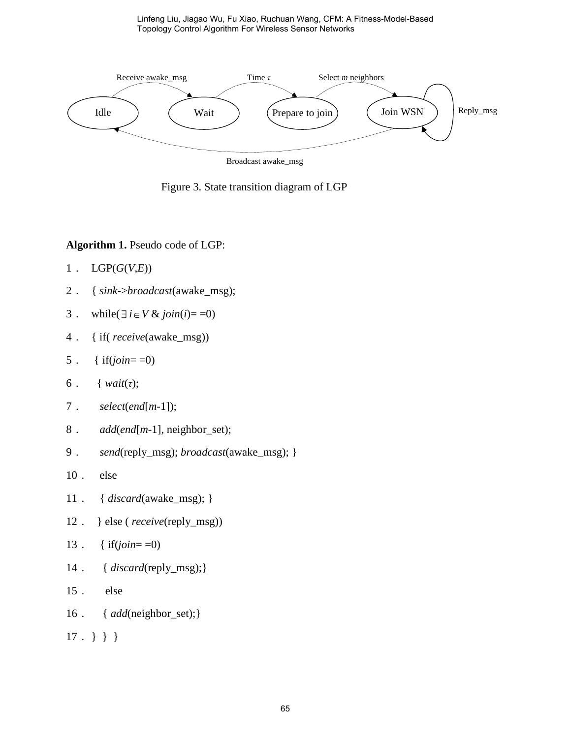

Figure 3. State transition diagram of LGP

#### **Algorithm 1.** Pseudo code of LGP:

- . LGP(*G*(*V*,*E*))
- . { *sink*->*broadcast*(awake\_msg);
- 3 . while( $\exists i \in V \& join(i) = 0$ )
- . { if( *receive*(awake\_msg))
- . { if(*join*= =0)
- . { *wait*(*τ*);
- . *select*(*end*[*m*-1]);
- . *add*(*end*[*m*-1], neighbor\_set);
- . *send*(reply\_msg); *broadcast*(awake\_msg); }
- . else
- . { *discard*(awake\_msg); }
- . } else ( *receive*(reply\_msg))
- . { if(*join*= =0)
- . { *discard*(reply\_msg);}
- . else
- . { *add*(neighbor\_set);}
- . } } }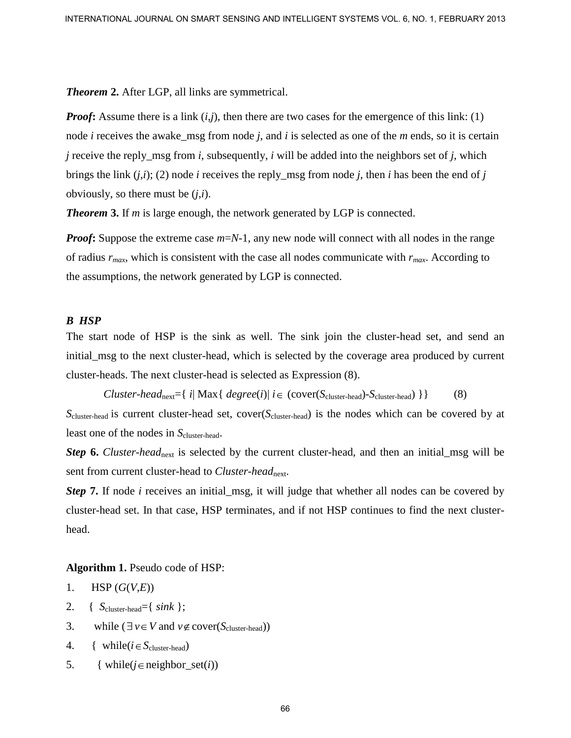*Theorem* **2.** After LGP, all links are symmetrical.

*Proof*: Assume there is a link  $(i,j)$ , then there are two cases for the emergence of this link: (1) node *i* receives the awake\_msg from node *j*, and *i* is selected as one of the *m* ends, so it is certain *j* receive the reply\_msg from *i*, subsequently, *i* will be added into the neighbors set of *j*, which brings the link  $(i,i)$ ; (2) node *i* receives the reply msg from node *j*, then *i* has been the end of *j* obviously, so there must be (*j*,*i*). INTERNATIONAL JOURNAL ON SIMAT SENSING AND INTELLIGENT SYSTEMS VOL. 6, NO. 1, FEBRUARY 2013<br>
Theorem 2. After LGP, all links are symmetrical.<br> **IFronty Assume there is a link (i,j)**, then there are two cases for the emerg

*Theorem* **3.** If *m* is large enough, the network generated by LGP is connected.

*Proof*: Suppose the extreme case  $m=N-1$ , any new node will connect with all nodes in the range of radius *rmax*, which is consistent with the case all nodes communicate with *rmax*. According to the assumptions, the network generated by LGP is connected.

#### *B HSP*

The start node of HSP is the sink as well. The sink join the cluster-head set, and send an initial\_msg to the next cluster-head, which is selected by the coverage area produced by current cluster-heads. The next cluster-head is selected as Expression (8).

*Cluster-head*<sub>next</sub>={ *i*| Max{  $degree(i)$ |  $i \in (cover(S<sub>cluster-head</sub>) - S<sub>cluster-head</sub>)$ }} (8)

*S*cluster-head is current cluster-head set, cover(*S*cluster-head) is the nodes which can be covered by at least one of the nodes in  $S_{cluster-head}$ .

*Step* 6. *Cluster-head*<sub>next</sub> is selected by the current cluster-head, and then an initial\_msg will be sent from current cluster-head to *Cluster-head*<sub>next</sub>.

*Step* **7.** If node *i* receives an initial\_msg, it will judge that whether all nodes can be covered by cluster-head set. In that case, HSP terminates, and if not HSP continues to find the next clusterhead.

**Algorithm 1.** Pseudo code of HSP:

```
1. HSP (G(V,E))
```
- 2. {  $S_{\text{cluster-head}} = \{ sink \};$
- 3. while  $(\exists v \in V \text{ and } v \notin \text{cover}(S_{\text{cluster-head}}))$
- 4. { while( $i \in S_{\text{cluster-head}}$ )
- 5. { while( $j \in$ neighbor\_set( $i$ ))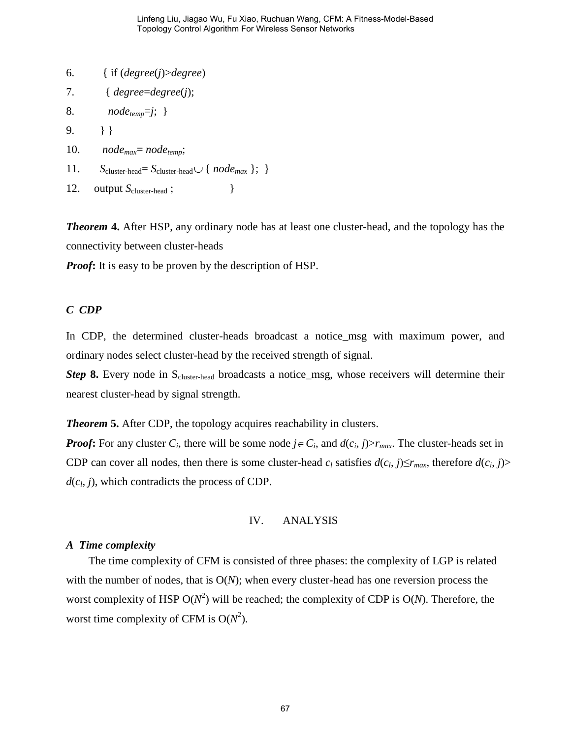- 6. { if (*degree*(*j*)>*degree*)
- 7. { *degree*=*degree*(*j*);
- 8. *nodetemp*=*j*; }

 $9. \qquad \}$ 

- 10. *nodemax*= *nodetemp*;
- 11.  $S_{cluster-head} = S_{cluster-head} \cup \{ node_{max} \}; \}$
- 12. output  $S_{cluster-head}$ ;

*Theorem* **4.** After HSP, any ordinary node has at least one cluster-head, and the topology has the connectivity between cluster-heads

*Proof***:** It is easy to be proven by the description of HSP.

#### *C CDP*

In CDP, the determined cluster-heads broadcast a notice\_msg with maximum power, and ordinary nodes select cluster-head by the received strength of signal.

*Step* 8. Every node in S<sub>cluster-head</sub> broadcasts a notice\_msg, whose receivers will determine their nearest cluster-head by signal strength.

*Theorem* **5.** After CDP, the topology acquires reachability in clusters.

*Proof*: For any cluster  $C_i$ , there will be some node  $j \in C_i$ , and  $d(c_i, j) > r_{max}$ . The cluster-heads set in CDP can cover all nodes, then there is some cluster-head  $c_l$  satisfies  $d(c_l, j) \leq r_{max}$ , therefore  $d(c_i, j)$  $d(c_l, j)$ , which contradicts the process of CDP.

IV. ANALYSIS

#### *A Time complexity*

The time complexity of CFM is consisted of three phases: the complexity of LGP is related with the number of nodes, that is O(*N*); when every cluster-head has one reversion process the worst complexity of HSP  $O(N^2)$  will be reached; the complexity of CDP is  $O(N)$ . Therefore, the worst time complexity of CFM is  $O(N^2)$ .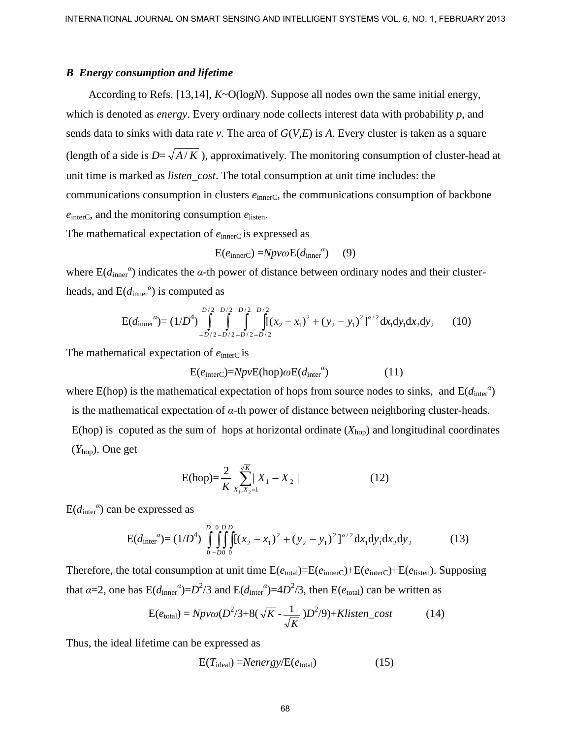#### *B Energy consumption and lifetime*

According to Refs. [13,14], *K*~O(log*N*). Suppose all nodes own the same initial energy, which is denoted as *energy*. Every ordinary node collects interest data with probability *p*, and sends data to sinks with data rate *v*. The area of *G*(*V*,*E*) is *A*. Every cluster is taken as a square (length of a side is  $D=\sqrt{A/K}$ ), approximatively. The monitoring consumption of cluster-head at unit time is marked as *listen\_cost*. The total consumption at unit time includes: the communications consumption in clusters  $e_{\text{innerC}}$ , the communications consumption of backbone *e*interC, and the monitoring consumption *e*listen. INTERNATIONAL JOURNAL ON SUMPRI SENSING AND INTELLIGENT SYSTEMS VOL. 6, NO. 1, FEBRUARY 2013<br> **Process and Execution and Hydian**<br>
According to Refs. [13,14], *K*-O(togs)<sup>3</sup>). Suppose all nodes cown the same initial energy

The mathematical expectation of  $e_{\text{inner}}$  is expressed as

$$
E(e_{\text{innerC}}) = Npv\omega E(d_{\text{inner}}^{\alpha}) \quad (9)
$$

where  $E(d<sub>inner</sub><sup>a</sup>)$  indicates the *α*-th power of distance between ordinary nodes and their clusterheads, and  $E(d<sub>inner</sub><sup>a</sup>)$  is computed as

$$
E(d_{inner}^{\alpha}) = (1/D^4) \int_{-D/2 - D/2 - D/2 - D/2}^{D/2} \int_{-D/2 - D/2 - D/2}^{D/2} \int_{-D/2 - D/2}^{D/2} [f(x_2 - x_1)^2 + (y_2 - y_1)^2]^{\alpha/2} dx_1 dy_1 dx_2 dy_2 \tag{10}
$$

The mathematical expectation of  $e_{\text{interC}}$  is

$$
E(einterc)=NpvE(hop)\omega E(dintera)
$$
 (11)

where E(hop) is the mathematical expectation of hops from source nodes to sinks, and  $E(d<sub>inter</sub><sup>a</sup>)$ is the mathematical expectation of *α-*th power of distance between neighboring cluster-heads. E(hop) is coputed as the sum of hops at horizontal ordinate  $(X_{\text{hop}})$  and longitudinal coordinates (*Y*hop). One get

$$
E(hop) = \frac{2}{K} \sum_{X_1, X_2 = 1}^{\sqrt{K}} |X_1 - X_2|
$$
 (12)

 $E(d<sub>inter</sub><sup>a</sup>)$  can be expressed as

$$
E(d_{\text{inter}}^{\alpha}) = (1/D^4) \int_{0-D0}^{D} \int_{0}^{D} \int_{0}^{D} [(x_2 - x_1)^2 + (y_2 - y_1)^2]^{\alpha/2} dx_1 dy_1 dx_2 dy_2 \tag{13}
$$

Therefore, the total consumption at unit time  $E(e_{total})=E(e_{innerC})+E(e_{interC})+E(e_{listen})$ . Supposing that  $\alpha$ =2, one has  $E(d_{\text{inner}}^{\alpha})=D^2/3$  and  $E(d_{\text{inter}}^{\alpha})=4D^2/3$ , then  $E(e_{\text{total}})$  can be written as

$$
E(e_{\text{total}}) = Npv\omega(D^2/3 + 8(\sqrt{K} - \frac{1}{\sqrt{K}})D^2/9) + Klisten\_cost
$$
 (14)

Thus, the ideal lifetime can be expressed as

$$
E(T_{ideal}) = Nenergy/E(e_{total})
$$
 (15)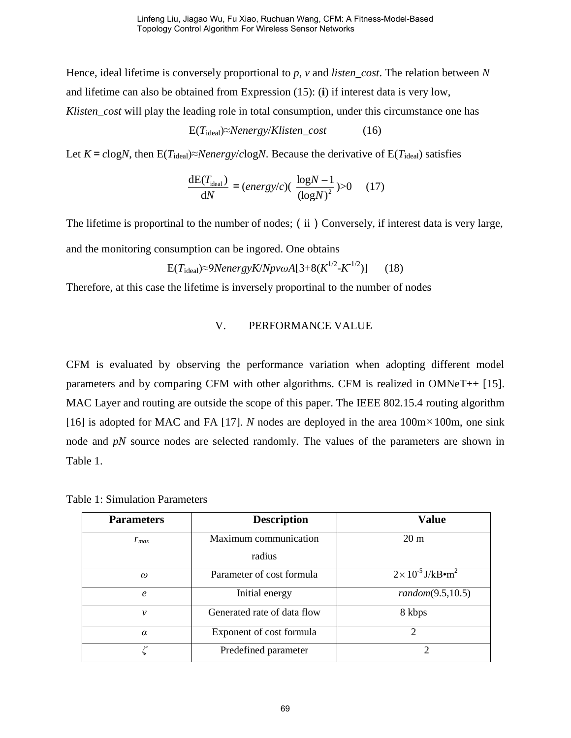Hence, ideal lifetime is conversely proportional to *p*, *v* and *listen\_cost*. The relation between *N* and lifetime can also be obtained from Expression (15): (**i**) if interest data is very low, *Klisten\_cost* will play the leading role in total consumption, under this circumstance one has

$$
E(Tideal) \approx Nenergy/Klisten\_cost
$$
 (16)

Let  $K = c \log N$ , then  $E(T_{ideal}) \approx N \leq N \leq N \leq N$ . Because the derivative of  $E(T_{ideal})$  satisfies

$$
\frac{\text{dE}(T_{\text{ideal}})}{\text{d}N} = (energy/c)(\frac{\log N - 1}{(\log N)^2}) > 0 \quad (17)
$$

The lifetime is proportinal to the number of nodes; (ii) Conversely, if interest data is very large,

and the monitoring consumption can be ingored. One obtains

$$
E(Tideal) \approx 9Nenergy K/ Npv\omega A[3+8(K^{1/2}-K^{-1/2})] \qquad (18)
$$

Therefore, at this case the lifetime is inversely proportinal to the number of nodes

# V. PERFORMANCE VALUE

CFM is evaluated by observing the performance variation when adopting different model parameters and by comparing CFM with other algorithms. CFM is realized in OMNeT++ [15]. MAC Layer and routing are outside the scope of this paper. The IEEE 802.15.4 routing algorithm [16] is adopted for MAC and FA [17]. *N* nodes are deployed in the area  $100m \times 100m$ , one sink node and *pN* source nodes are selected randomly. The values of the parameters are shown in Table 1.

| <b>Parameters</b> | <b>Description</b>          | <b>Value</b>                                   |  |
|-------------------|-----------------------------|------------------------------------------------|--|
| $r_{max}$         | Maximum communication       | 20 <sub>m</sub>                                |  |
|                   | radius                      |                                                |  |
| $\omega$          | Parameter of cost formula   | $2 \times 10^{-5}$ J/kB $\cdot$ m <sup>2</sup> |  |
| $\epsilon$        | Initial energy              | random(9.5, 10.5)                              |  |
| ν                 | Generated rate of data flow | 8 kbps                                         |  |
| $\alpha$          | Exponent of cost formula    | $\mathcal{D}_{\mathcal{A}}$                    |  |
|                   | Predefined parameter        |                                                |  |

Table 1: Simulation Parameters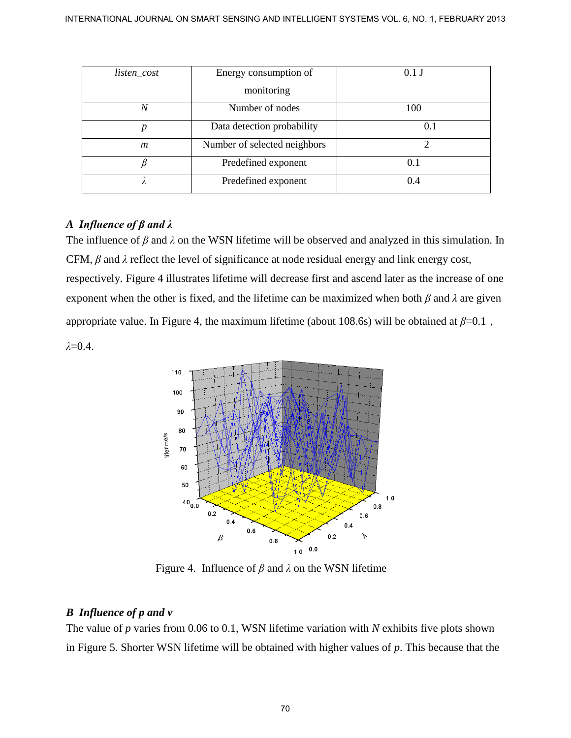| listen_cost    | Energy consumption of        | $0.1$ J |
|----------------|------------------------------|---------|
|                | monitoring                   |         |
| N              | Number of nodes              | 100     |
| p              | Data detection probability   | 0.1     |
| $\mathfrak{m}$ | Number of selected neighbors |         |
|                | Predefined exponent          | 0.1     |
|                | Predefined exponent          | 0.4     |

# *A Influence of β and λ*

The influence of *β* and *λ* on the WSN lifetime will be observed and analyzed in this simulation. In CFM, *β* and *λ* reflect the level of significance at node residual energy and link energy cost, respectively. Figure 4 illustrates lifetime will decrease first and ascend later as the increase of one exponent when the other is fixed, and the lifetime can be maximized when both *β* and *λ* are given appropriate value. In Figure 4, the maximum lifetime (about 108.6s) will be obtained at  $\beta$ =0.1, *λ*=0.4.



Figure 4. Influence of *β* and *λ* on the WSN lifetime

# *B Influence of p and v*

The value of *p* varies from 0.06 to 0.1, WSN lifetime variation with *N* exhibits five plots shown in Figure 5. Shorter WSN lifetime will be obtained with higher values of *p*. This because that the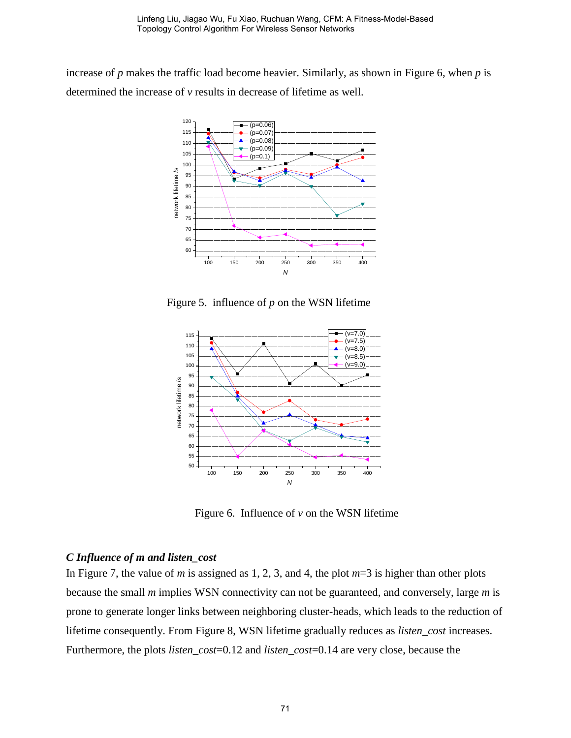increase of *p* makes the traffic load become heavier. Similarly, as shown in Figure 6, when *p* is determined the increase of *v* results in decrease of lifetime as well.



Figure 5. influence of *p* on the WSN lifetime



Figure 6. Influence of  $v$  on the WSN lifetime

#### *C Influence of m and listen\_cost*

In Figure 7, the value of *m* is assigned as 1, 2, 3, and 4, the plot *m*=3 is higher than other plots because the small *m* implies WSN connectivity can not be guaranteed, and conversely, large *m* is prone to generate longer links between neighboring cluster-heads, which leads to the reduction of lifetime consequently. From Figure 8, WSN lifetime gradually reduces as *listen\_cost* increases. Furthermore, the plots *listen\_cost*=0.12 and *listen\_cost*=0.14 are very close, because the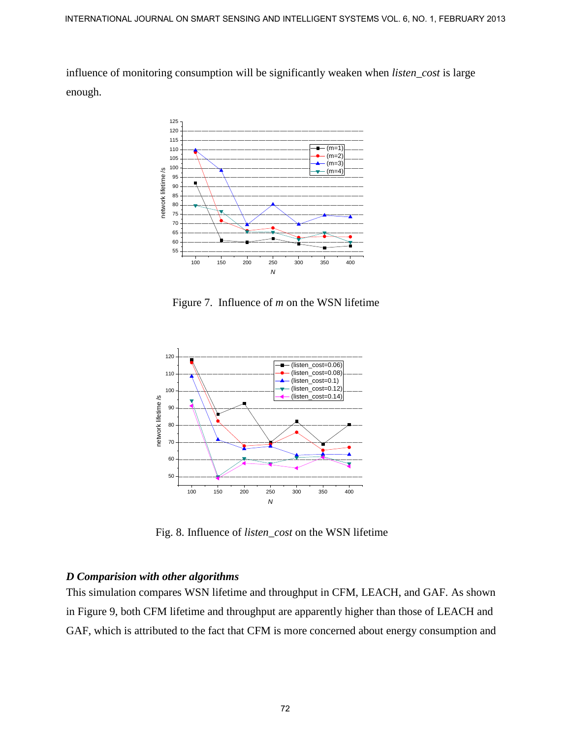influence of monitoring consumption will be significantly weaken when *listen\_cost* is large enough.



Figure 7. Influence of *m* on the WSN lifetime



Fig. 8. Influence of *listen\_cost* on the WSN lifetime

# *D Comparision with other algorithms*

This simulation compares WSN lifetime and throughput in CFM, LEACH, and GAF. As shown in Figure 9, both CFM lifetime and throughput are apparently higher than those of LEACH and GAF, which is attributed to the fact that CFM is more concerned about energy consumption and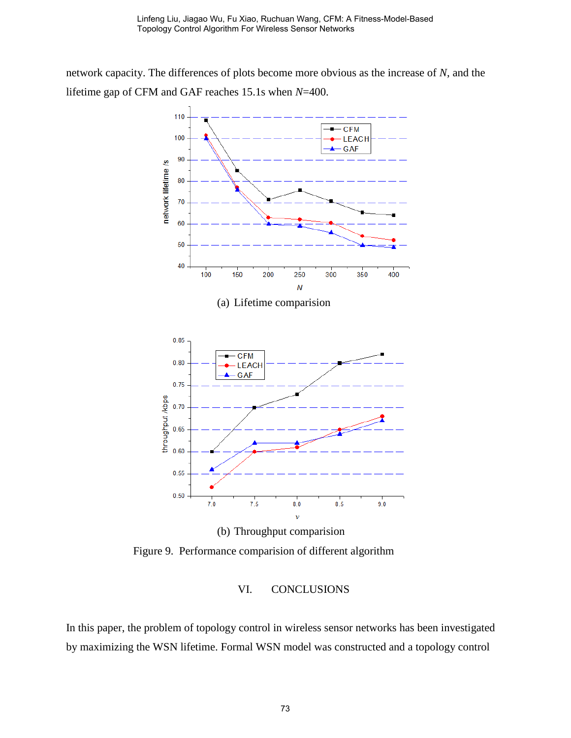network capacity. The differences of plots become more obvious as the increase of *N*, and the lifetime gap of CFM and GAF reaches 15.1s when *N*=400.



# Figure 9. Performance comparision of different algorithm

# VI. CONCLUSIONS

In this paper, the problem of topology control in wireless sensor networks has been investigated by maximizing the WSN lifetime. Formal WSN model was constructed and a topology control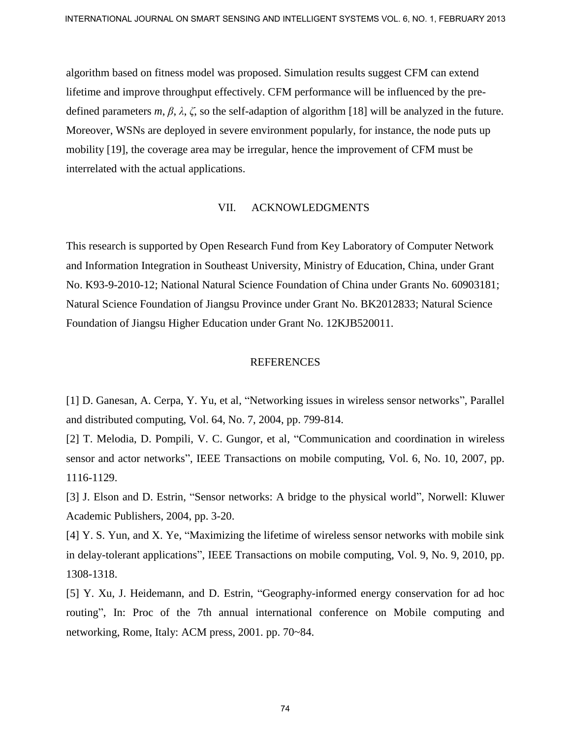algorithm based on fitness model was proposed. Simulation results suggest CFM can extend lifetime and improve throughput effectively. CFM performance will be influenced by the predefined parameters *m*, *β*, *λ*, *ζ*, so the self-adaption of algorithm [18] will be analyzed in the future. Moreover, WSNs are deployed in severe environment popularly, for instance, the node puts up mobility [19], the coverage area may be irregular, hence the improvement of CFM must be interrelated with the actual applications. INTERNATIONAL JOURNAL ON SINNET SENSING AND INTELLIGENT SYSTEMS VOL. 6, NO. 1, FEBRUARY 2013<br>
algorithm hasked on fitness model was proposed. Simulation results suggest CFM can extend<br>
diffetime and improve throughput effe

#### VII. ACKNOWLEDGMENTS

This research is supported by Open Research Fund from Key Laboratory of Computer Network and Information Integration in Southeast University, Ministry of Education, China, under Grant No. K93-9-2010-12; National Natural Science Foundation of China under Grants No. 60903181; Natural Science Foundation of Jiangsu Province under Grant No. BK2012833; Natural Science Foundation of Jiangsu Higher Education under Grant No. 12KJB520011.

#### REFERENCES

[1] D. Ganesan, A. Cerpa, Y. Yu, et al, "Networking issues in wireless sensor networks", Parallel and distributed computing, Vol. 64, No. 7, 2004, pp. 799-814.

[2] T. Melodia, D. Pompili, V. C. Gungor, et al, "Communication and coordination in wireless sensor and actor networks", IEEE Transactions on mobile computing, Vol. 6, No. 10, 2007, pp. 1116-1129.

[3] J. Elson and D. Estrin, "Sensor networks: A bridge to the physical world", Norwell: Kluwer Academic Publishers, 2004, pp. 3-20.

[4] Y. S. Yun, and X. Ye, "Maximizing the lifetime of wireless sensor networks with mobile sink in delay-tolerant applications", IEEE Transactions on mobile computing, Vol. 9, No. 9, 2010, pp. 1308-1318.

[5] Y. Xu, J. Heidemann, and D. Estrin, "Geography-informed energy conservation for ad hoc routing", In: Proc of the 7th annual international conference on Mobile computing and networking, Rome, Italy: ACM press, 2001. pp. 70~84.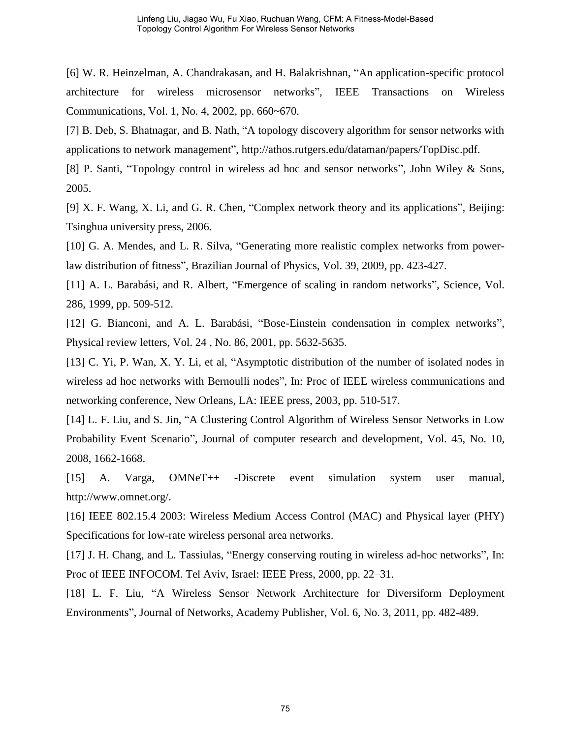[6] W. R. Heinzelman, A. Chandrakasan, and H. Balakrishnan, "An application-specific protocol architecture for wireless microsensor networks", IEEE Transactions on Wireless Communications, Vol. 1, No. 4, 2002, pp. 660~670.

[7] B. Deb, S. Bhatnagar, and B. Nath, "A topology discovery algorithm for sensor networks with applications to network management", http://athos.rutgers.edu/dataman/papers/TopDisc.pdf.

[8] P. Santi, "Topology control in wireless ad hoc and sensor networks", John Wiley & Sons, 2005.

[9] X. F. Wang, X. Li, and G. R. Chen, "Complex network theory and its applications", Beijing: Tsinghua university press, 2006.

[10] G. A. Mendes, and L. R. Silva, "Generating more realistic complex networks from powerlaw distribution of fitness", Brazilian Journal of Physics, Vol. 39, 2009, pp. 423-427.

[11] A. L. Barabási, and R. Albert, "Emergence of scaling in random networks", Science, Vol. 286, 1999, pp. 509-512.

[12] G. Bianconi, and A. L. Barabási, "Bose-Einstein condensation in complex networks", Physical review letters, Vol. 24 , No. 86, 2001, pp. 5632-5635.

[13] C. Yi, P. Wan, X. Y. Li, et al, "Asymptotic distribution of the number of isolated nodes in wireless ad hoc networks with Bernoulli nodes", In: Proc of IEEE wireless communications and networking conference, New Orleans, LA: IEEE press, 2003, pp. 510-517.

[14] L. F. Liu, and S. Jin, "A Clustering Control Algorithm of Wireless Sensor Networks in Low Probability Event Scenario", Journal of computer research and development, Vol. 45, No. 10, 2008, 1662-1668.

[15] A. Varga, OMNeT++ -Discrete event simulation system user manual, http://www.omnet.org/.

[16] IEEE 802.15.4 2003: Wireless Medium Access Control (MAC) and Physical layer (PHY) Specifications for low-rate wireless personal area networks.

[17] J. H. Chang, and L. Tassiulas, "Energy conserving routing in wireless ad-hoc networks", In: Proc of IEEE INFOCOM. Tel Aviv, Israel: IEEE Press, 2000, pp. 22–31.

[18] L. F. Liu, "A Wireless Sensor Network Architecture for Diversiform Deployment Environments", Journal of Networks, Academy Publisher, Vol. 6, No. 3, 2011, pp. 482-489.